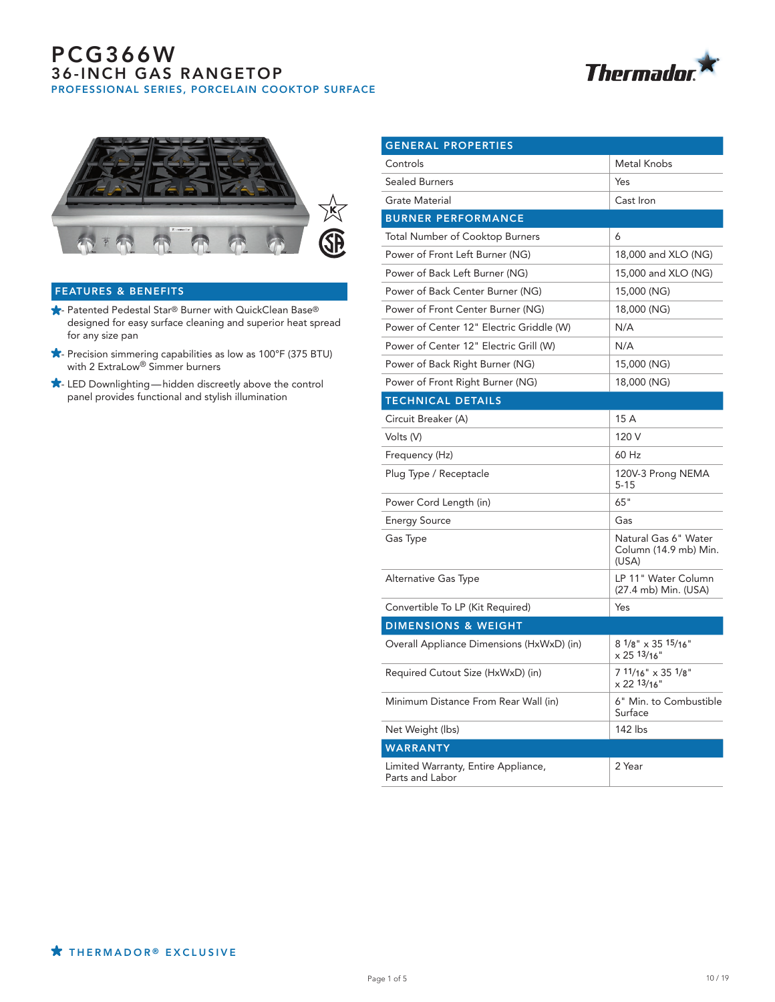



## FEATURES & BENEFITS

- **★** Patented Pedestal Star® Burner with QuickClean Base® designed for easy surface cleaning and superior heat spread for any size pan
- $\star$  Precision simmering capabilities as low as 100°F (375 BTU) with 2 ExtraLow<sup>®</sup> Simmer burners
- $\bigstar$  LED Downlighting hidden discreetly above the control panel provides functional and stylish illumination

| <b>GENERAL PROPERTIES</b>                              |                                                        |
|--------------------------------------------------------|--------------------------------------------------------|
| Controls                                               | Metal Knobs                                            |
| <b>Sealed Burners</b>                                  | Yes                                                    |
| <b>Grate Material</b>                                  | Cast Iron                                              |
| <b>BURNER PERFORMANCE</b>                              |                                                        |
| <b>Total Number of Cooktop Burners</b>                 | 6                                                      |
| Power of Front Left Burner (NG)                        | 18,000 and XLO (NG)                                    |
| Power of Back Left Burner (NG)                         | 15,000 and XLO (NG)                                    |
| Power of Back Center Burner (NG)                       | 15,000 (NG)                                            |
| Power of Front Center Burner (NG)                      | 18,000 (NG)                                            |
| Power of Center 12" Electric Griddle (W)               | N/A                                                    |
| Power of Center 12" Electric Grill (W)                 | N/A                                                    |
| Power of Back Right Burner (NG)                        | 15,000 (NG)                                            |
| Power of Front Right Burner (NG)                       | 18,000 (NG)                                            |
| <b>TECHNICAL DETAILS</b>                               |                                                        |
| Circuit Breaker (A)                                    | 15 A                                                   |
| Volts (V)                                              | 120 V                                                  |
| Frequency (Hz)                                         | 60 Hz                                                  |
| Plug Type / Receptacle                                 | 120V-3 Prong NEMA<br>$5 - 15$                          |
| Power Cord Length (in)                                 | 65"                                                    |
| <b>Energy Source</b>                                   | Gas                                                    |
| Gas Type                                               | Natural Gas 6" Water<br>Column (14.9 mb) Min.<br>(USA) |
| Alternative Gas Type                                   | LP 11" Water Column<br>(27.4 mb) Min. (USA)            |
| Convertible To LP (Kit Required)                       | Yes                                                    |
| <b>DIMENSIONS &amp; WEIGHT</b>                         |                                                        |
| Overall Appliance Dimensions (HxWxD) (in)              | $81/8" \times 3515/16"$<br>x 25 13/16"                 |
| Required Cutout Size (HxWxD) (in)                      | 7 11/16" x 35 1/8"<br>x 22 13/16"                      |
| Minimum Distance From Rear Wall (in)                   | 6" Min. to Combustible<br>Surface                      |
| Net Weight (lbs)                                       | 142 lbs                                                |
| <b>WARRANTY</b>                                        |                                                        |
| Limited Warranty, Entire Appliance,<br>Parts and Labor | 2 Year                                                 |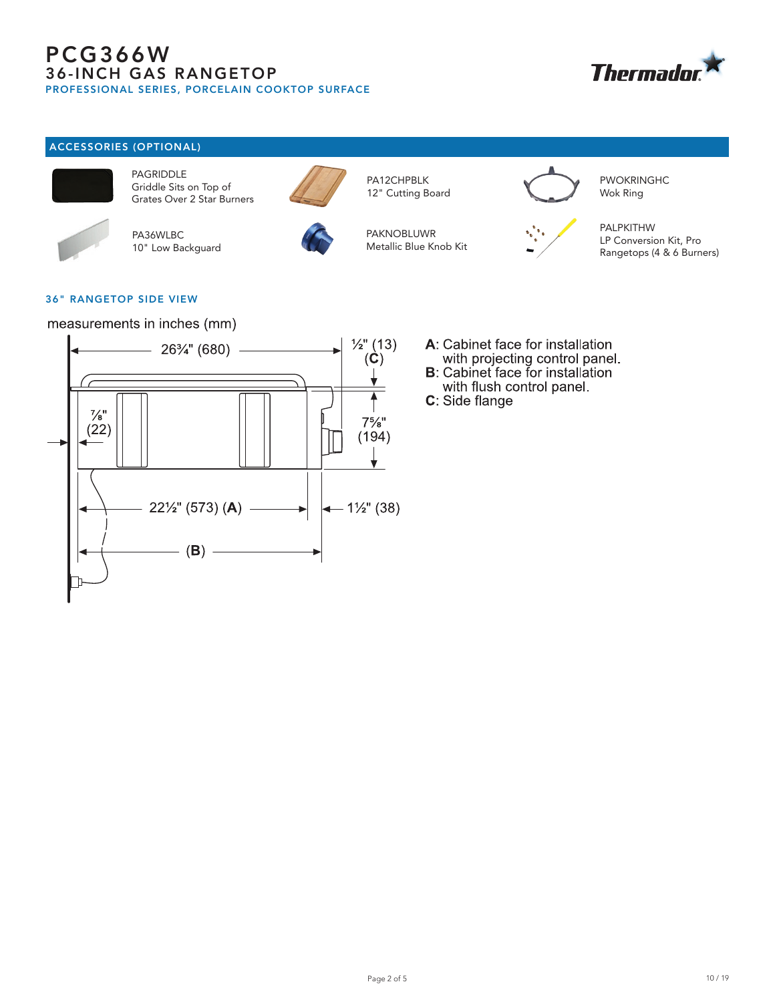

## ACCESSORIES (OPTIONAL)



PAGRIDDLE Griddle Sits on Top of Grates Over 2 Star Burners



PA36WLBC 10" Low Backguard



12" Cutting Board

PA12CHPBLK

PAKNOBLUWR Metallic Blue Knob Kit



PWOKRINGHC Wok Ring



PALPKITHW LP Conversion Kit, Pro Rangetops (4 & 6 Burners)

## 36" RANGETOP SIDE VIEW

measurements in inches (mm)



- A: Cabinet face for installation with projecting control panel.
- **B**: Cabinet face for installation with flush control panel.
- C: Side flange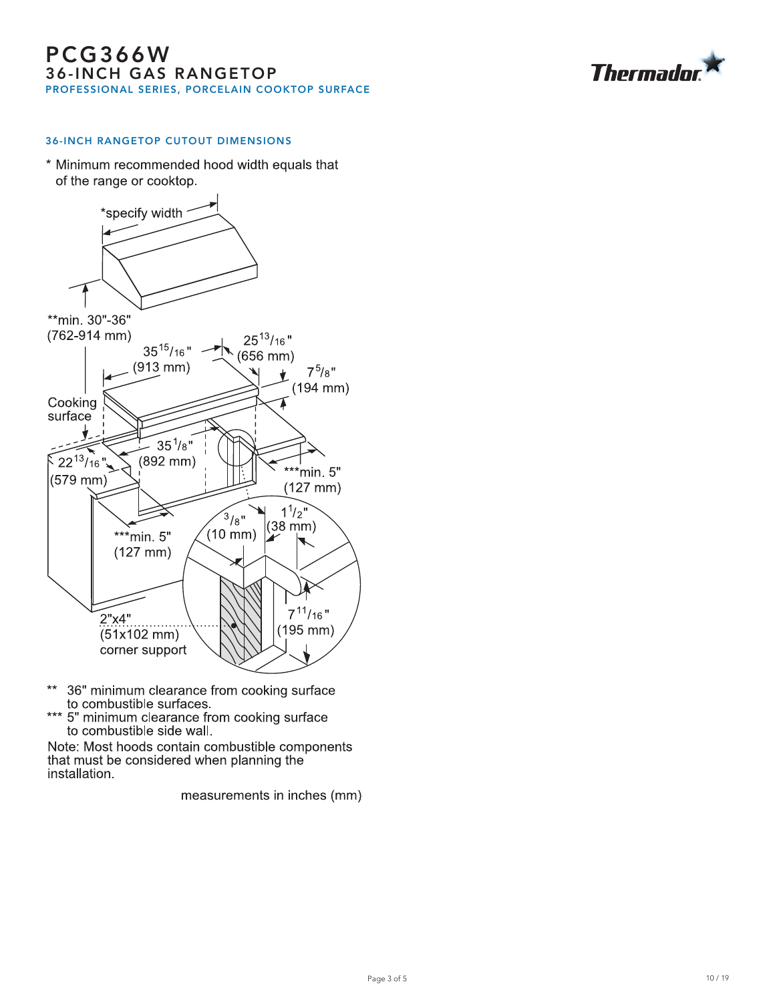

## 36-INCH RANGETOP CUTOUT DIMENSIONS

\* Minimum recommended hood width equals that of the range or cooktop.



- \*\* 36" minimum clearance from cooking surface<br>to combustible surfaces.<br>\*\*\* 5" minimum clearance from cooking surface
- to combustible side wall.

Note: Most hoods contain combustible components that must be considered when planning the installation.

measurements in inches (mm)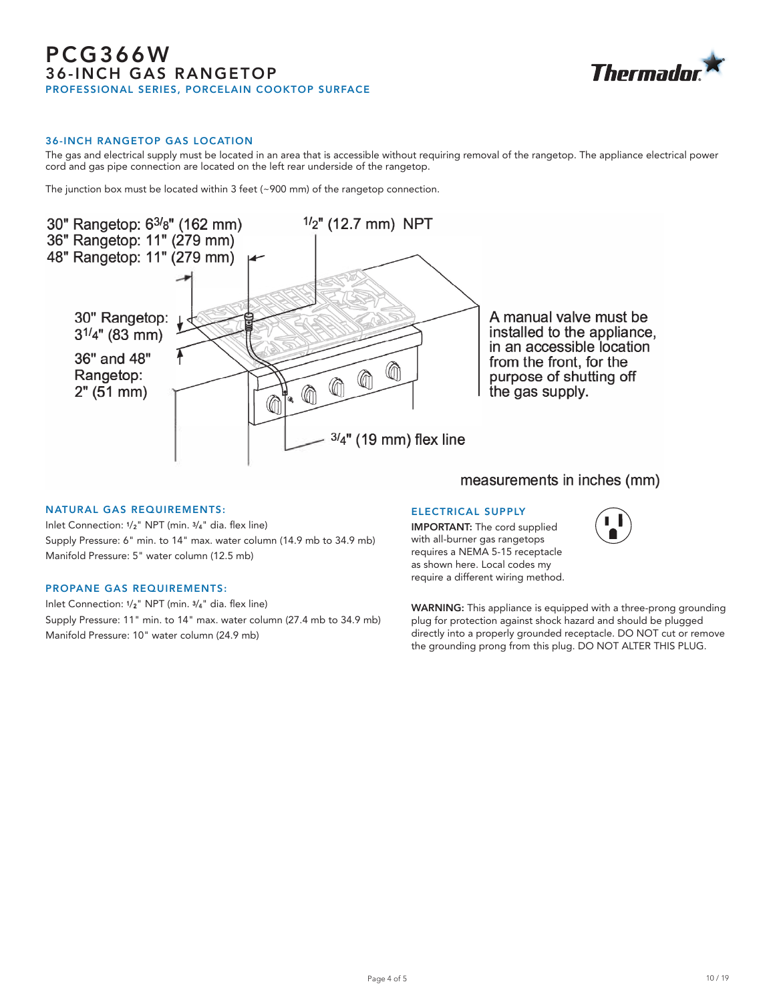

#### 36-INCH RANGETOP GAS LOCATION

The gas and electrical supply must be located in an area that is accessible without requiring removal of the rangetop. The appliance electrical power cord and gas pipe connection are located on the left rear underside of the rangetop.

The junction box must be located within 3 feet (~900 mm) of the rangetop connection.



#### NATURAL GAS REQUIREMENTS:

Inlet Connection: 1/2" NPT (min. 3/4" dia. flex line) Supply Pressure: 6" min. to 14" max. water column (14.9 mb to 34.9 mb) Manifold Pressure: 5" water column (12.5 mb)

#### PROPANE GAS REQUIREMENTS:

Inlet Connection: 1/2" NPT (min. 3/4" dia. flex line) Supply Pressure: 11" min. to 14" max. water column (27.4 mb to 34.9 mb) Manifold Pressure: 10" water column (24.9 mb)

ELECTRICAL SUPPLY IMPORTANT: The cord supplied with all-burner gas rangetops requires a NEMA 5-15 receptacle as shown here. Local codes my require a different wiring method.



WARNING: This appliance is equipped with a three-prong grounding plug for protection against shock hazard and should be plugged directly into a properly grounded receptacle. DO NOT cut or remove the grounding prong from this plug. DO NOT ALTER THIS PLUG.